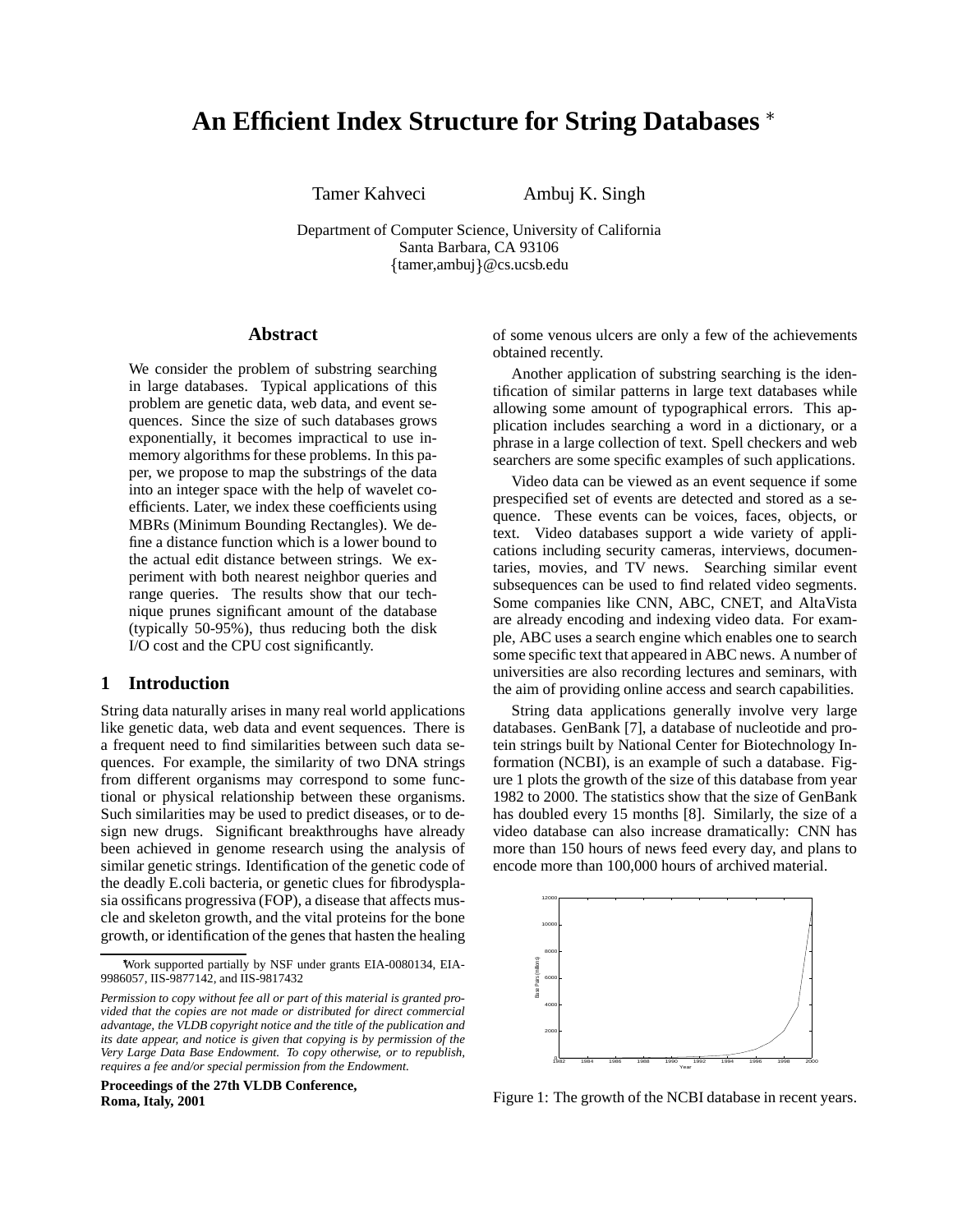# **An Efficient Index Structure for String Databases**

Tamer Kahveci Ambuj K. Singh

Department of Computer Science, University of California Santa Barbara, CA 93106 {tamer,ambuj}@cs.ucsb.edu

# **Abstract**

We consider the problem of substring searching in large databases. Typical applications of this problem are genetic data, web data, and event sequences. Since the size of such databases grows exponentially, it becomes impractical to use inmemory algorithms for these problems. In this paper, we propose to map the substrings of the data into an integer space with the help of wavelet coefficients. Later, we index these coefficients using MBRs (Minimum Bounding Rectangles). We define a distance function which is a lower bound to the actual edit distance between strings. We experiment with both nearest neighbor queries and range queries. The results show that our technique prunes significant amount of the database (typically 50-95%), thus reducing both the disk I/O cost and the CPU cost significantly.

# **1 Introduction**

String data naturally arises in many real world applications like genetic data, web data and event sequences. There is a frequent need to find similarities between such data sequences. For example, the similarity of two DNA strings from different organisms may correspond to some functional or physical relationship between these organisms. Such similarities may be used to predict diseases, or to design new drugs. Significant breakthroughs have already been achieved in genome research using the analysis of similar genetic strings. Identification of the genetic code of the deadly E.coli bacteria, or genetic clues for fibrodysplasia ossificans progressiva (FOP), a disease that affects muscle and skeleton growth, and the vital proteins for the bone growth, or identification of the genes that hasten the healing

**Proceedings of the 27th VLDB Conference, Roma, Italy, 2001**

of some venous ulcers are only a few of the achievements obtained recently.

Another application of substring searching is the identification of similar patterns in large text databases while allowing some amount of typographical errors. This application includes searching a word in a dictionary, or a phrase in a large collection of text. Spell checkers and web searchers are some specific examples of such applications.

Video data can be viewed as an event sequence if some prespecified set of events are detected and stored as a sequence. These events can be voices, faces, objects, or text. Video databases support a wide variety of applications including security cameras, interviews, documentaries, movies, and TV news. Searching similar event subsequences can be used to find related video segments. Some companies like CNN, ABC, CNET, and AltaVista are already encoding and indexing video data. For example, ABC uses a search engine which enables one to search some specific text that appeared in ABC news. A number of universities are also recording lectures and seminars, with the aim of providing online access and search capabilities.

String data applications generally involve very large databases. GenBank [7], a database of nucleotide and protein strings built by National Center for Biotechnology Information (NCBI), is an example of such a database. Figure 1 plots the growth of the size of this database from year 1982 to 2000. The statistics show that the size of GenBank has doubled every 15 months [8]. Similarly, the size of a video database can also increase dramatically: CNN has more than 150 hours of news feed every day, and plans to encode more than 100,000 hours of archived material.



Figure 1: The growth of the NCBI database in recent years.

Work supported partially by NSF under grants EIA-0080134, EIA-9986057, IIS-9877142, and IIS-9817432

*Permission to copy without fee all or part of this material is granted provided that the copies are not made or distributed for direct commercial advantage, the VLDB copyright notice and the title of the publication and its date appear, and notice is given that copying is by permission of the Very Large Data Base Endowment. To copy otherwise, or to republish, requires a fee and/or special permission from the Endowment.*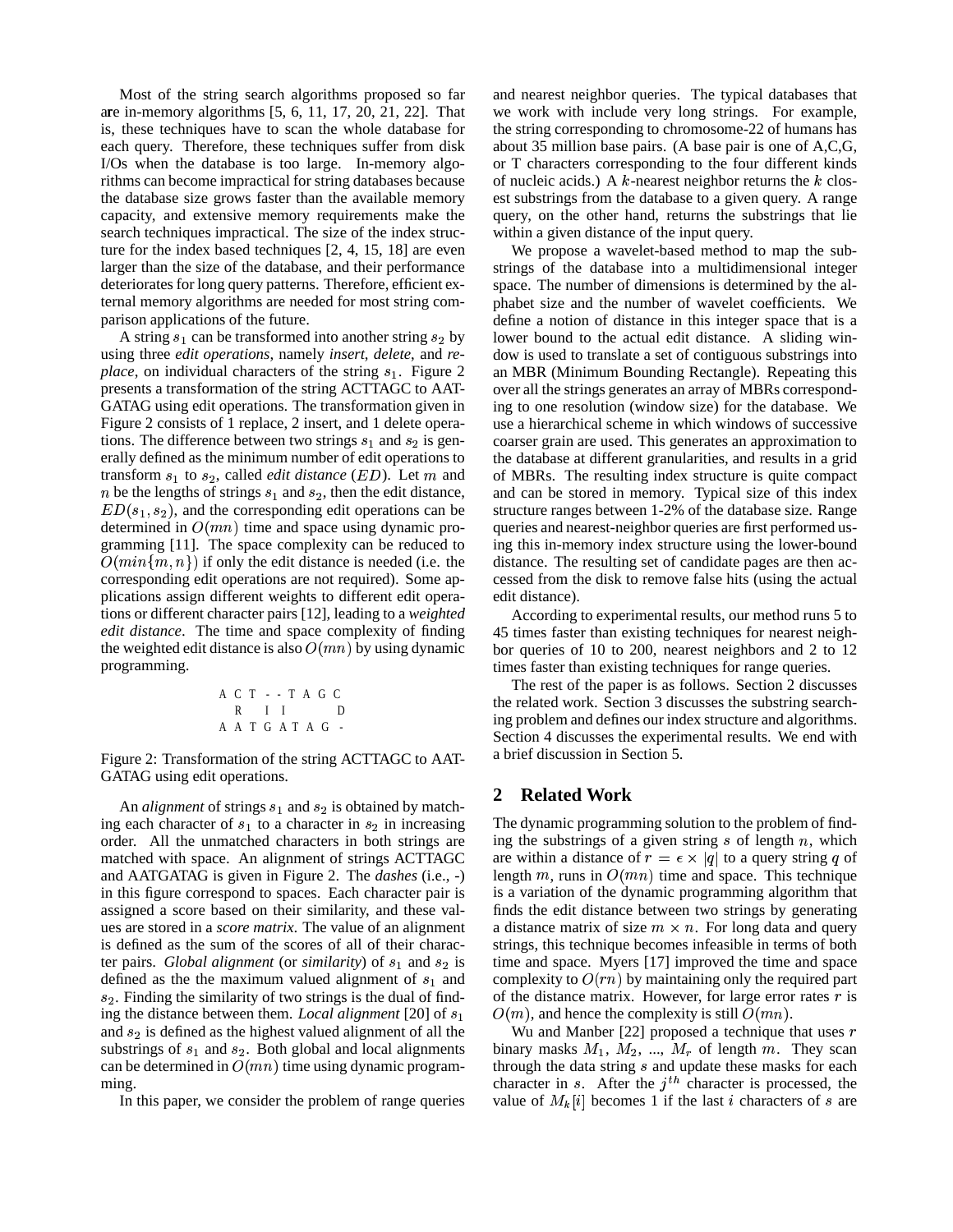Most of the string search algorithms proposed so far are in-memory algorithms [5, 6, 11, 17, 20, 21, 22]. That is, these techniques have to scan the whole database for each query. Therefore, these techniques suffer from disk I/Os when the database is too large. In-memory algorithms can become impractical for string databases because the database size grows faster than the available memory capacity, and extensive memory requirements make the search techniques impractical. The size of the index structure for the index based techniques [2, 4, 15, 18] are even larger than the size of the database, and their performance deteriorates for long query patterns. Therefore, efficient external memory algorithms are needed for most string comparison applications of the future.

A string  $s_1$  can be transformed into another string  $s_2$  by using three *edit operations*, namely *insert*, *delete*, and *replace*, on individual characters of the string  $s<sub>1</sub>$ . Figure 2 presents a transformation of the string ACTTAGC to AAT-GATAG using edit operations. The transformation given in Figure 2 consists of 1 replace, 2 insert, and 1 delete operations. The difference between two strings  $s_1$  and  $s_2$  is generally defined as the minimum number of edit operations to transform  $s_1$  to  $s_2$ , called *edit distance* (*ED*). Let m and of MBRs *n* be the lengths of strings  $s_1$  and  $s_2$ , then the edit distance,  $ED(s_1, s_2)$ , and the corresponding edit operations can be determined in  $O(mn)$  time and space using dynamic programming [11]. The space complexity can be reduced to  $O(min\{m, n\})$  if only the edit distance is needed (i.e. the corresponding edit operations are not required). Some applications assign different weights to different edit operations or different character pairs [12], leading to a *weighted edit distance*. The time and space complexity of finding the weighted edit distance is also  $O(mn)$  by using dynamic programming.

$$
\begin{array}{cccccccc}\nA & C & T & - & - & T & A & G & C \\
R & I & I & & D \\
A & A & T & G & A & T & A & G\n\end{array}
$$

Figure 2: Transformation of the string ACTTAGC to AAT-GATAG using edit operations.

An *alignment* of strings  $s_1$  and  $s_2$  is obtained by matching each character of  $s_1$  to a character in  $s_2$  in increasing order. All the unmatched characters in both strings are matched with space. An alignment of strings ACTTAGC and AATGATAG is given in Figure 2. The *dashes* (i.e., -) in this figure correspond to spaces. Each character pair is assigned a score based on their similarity, and these values are stored in a *score matrix*. The value of an alignment is defined as the sum of the scores of all of their character pairs. *Global alignment* (or *similarity*) of  $s_1$  and  $s_2$  is defined as the the maximum valued alignment of  $s<sub>1</sub>$  and  $s_2$ . Finding the similarity of two strings is the dual of finding the distance between them. *Local alignment* [20] of and  $s_2$  is defined as the highest valued alignment of all the substrings of  $s_1$  and  $s_2$ . Both global and local alignments can be determined in  $O(mn)$  time using dynamic programming.

In this paper, we consider the problem of range queries

and nearest neighbor queries. The typical databases that we work with include very long strings. For example, the string corresponding to chromosome-22 of humans has about 35 million base pairs. (A base pair is one of A,C,G, or T characters corresponding to the four different kinds of nucleic acids.) A  $k$ -nearest neighbor returns the  $k$  closest substrings from the database to a given query. A range query, on the other hand, returns the substrings that lie within a given distance of the input query.

We propose a wavelet-based method to map the substrings of the database into a multidimensional integer space. The number of dimensions is determined by the alphabet size and the number of wavelet coefficients. We define a notion of distance in this integer space that is a lower bound to the actual edit distance. A sliding window is used to translate a set of contiguous substrings into an MBR (Minimum Bounding Rectangle). Repeating this over all the strings generates an array of MBRs corresponding to one resolution (window size) for the database. We use a hierarchical scheme in which windows of successive coarser grain are used. This generates an approximation to the database at different granularities, and results in a grid of MBRs. The resulting index structure is quite compact and can be stored in memory. Typical size of this index structure ranges between 1-2% of the database size. Range queries and nearest-neighbor queries are first performed using this in-memory index structure using the lower-bound distance. The resulting set of candidate pages are then accessed from the disk to remove false hits (using the actual edit distance).

According to experimental results, our method runs 5 to 45 times faster than existing techniques for nearest neighbor queries of 10 to 200, nearest neighbors and 2 to 12 times faster than existing techniques for range queries.

The rest of the paper is as follows. Section 2 discusses the related work. Section 3 discusses the substring searching problem and defines our index structure and algorithms. Section 4 discusses the experimental results. We end with a brief discussion in Section 5.

## **2 Related Work**

The dynamic programming solution to the problem of finding the substrings of a given string  $s$  of length  $n$ , which are within a distance of  $r = \epsilon \times |q|$  to a query string q of length m, runs in  $O(mn)$  time and space. This technique is a variation of the dynamic programming algorithm that finds the edit distance between two strings by generating a distance matrix of size  $m \times n$ . For long data and query strings, this technique becomes infeasible in terms of both time and space. Myers [17] improved the time and space complexity to  $O(rn)$  by maintaining only the required part of the distance matrix. However, for large error rates  $r$  is  $O(m)$ , and hence the complexity is still  $O(mn)$ .

Wu and Manber [22] proposed a technique that uses  $r$ binary masks  $M_1$ ,  $M_2$ , ...,  $M_r$  of length  $m$ . They scan through the data string  $s$  and update these masks for each character in  $s$ . After the  $j<sup>th</sup>$  character is processed, the value of  $M_k[i]$  becomes 1 if the last *i* characters of *s* are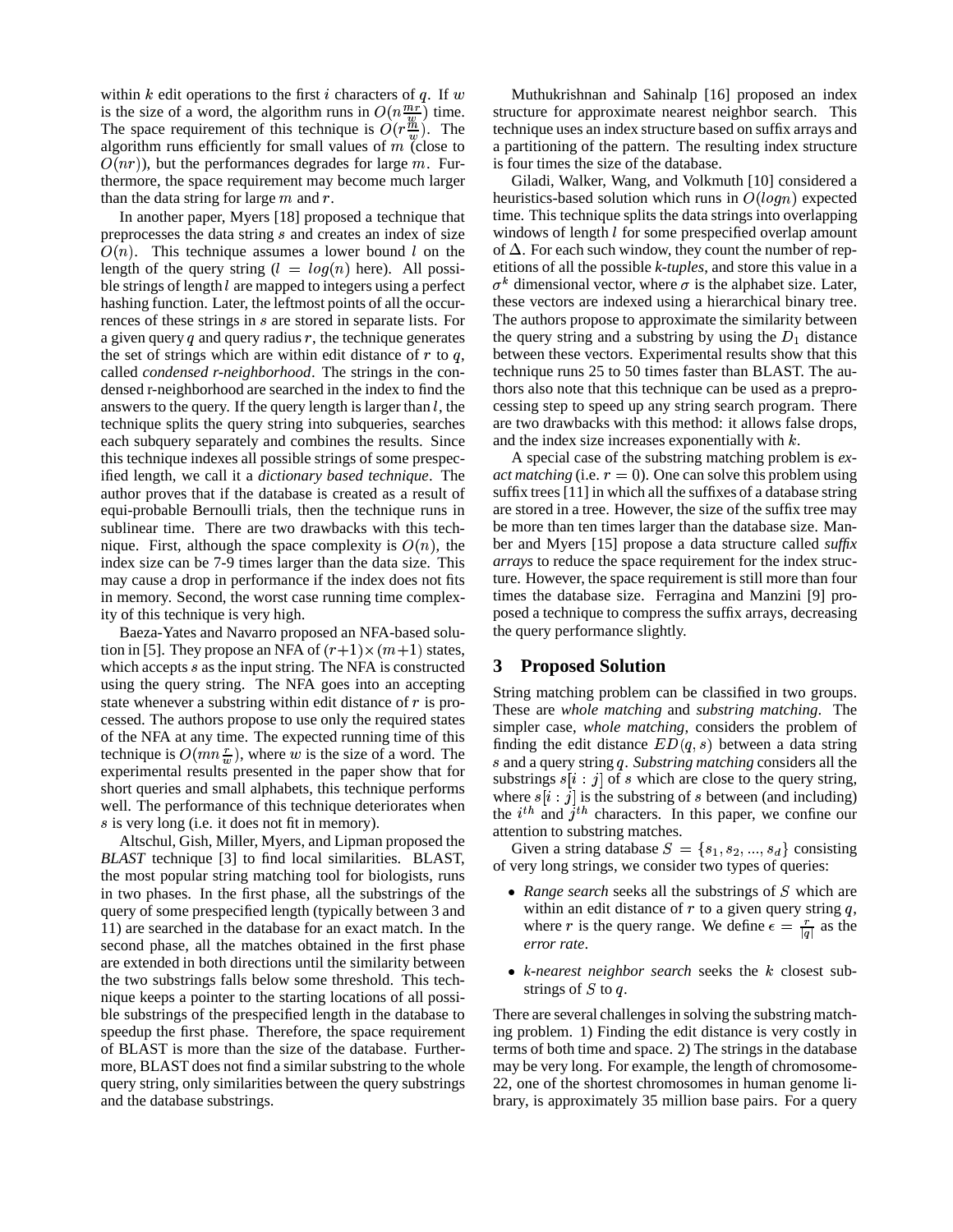within  $k$  edit operations to the first  $i$  characters of  $q$ . If  $w$ is the size of a word, the algorithm runs in  $O(n \frac{mr}{m})$  time. The space requirement of this technique is  $O(r\frac{m}{m})$ . The term algorithm runs efficiently for small values of  $m$  (close to  $O(nr)$ ), but the performances degrades for large m. Furthermore, the space requirement may become much larger than the data string for large  $m$  and  $r$ .

In another paper, Myers [18] proposed a technique that preprocesses the data string  $s$  and creates an index of size  $O(n)$ . This technique assumes a lower bound l on the length of the query string  $(l = log(n)$  here). All possible strings of length  $l$  are mapped to integers using a perfect hashing function. Later, the leftmost points of all the occurrences of these strings in s are stored in separate lists. For a given query  $q$  and query radius  $r$ , the technique generates the set of strings which are within edit distance of  $r$  to  $q$ , called *condensed r-neighborhood*. The strings in the condensed r-neighborhood are searched in the index to find the answers to the query. If the query length is larger than  $l$ , the technique splits the query string into subqueries, searches each subquery separately and combines the results. Since this technique indexes all possible strings of some prespecified length, we call it a *dictionary based technique*. The author proves that if the database is created as a result of equi-probable Bernoulli trials, then the technique runs in sublinear time. There are two drawbacks with this technique. First, although the space complexity is  $O(n)$ , the be index size can be 7-9 times larger than the data size. This may cause a drop in performance if the index does not fits in memory. Second, the worst case running time complexity of this technique is very high.

Baeza-Yates and Navarro proposed an NFA-based solution in [5]. They propose an NFA of  $(r+1) \times (m+1)$  states, which accepts  $s$  as the input string. The NFA is constructed using the query string. The NFA goes into an accepting state whenever a substring within edit distance of  $r$  is processed. The authors propose to use only the required states of the NFA at any time. The expected running time of this technique is  $O(mn\frac{r}{w})$ , where w is the size of a word. The experimental results presented in the paper show that for short queries and small alphabets, this technique performs well. The performance of this technique deteriorates when s is very long (i.e. it does not fit in memory).

Altschul, Gish, Miller, Myers, and Lipman proposed the *BLAST* technique [3] to find local similarities. BLAST, the most popular string matching tool for biologists, runs in two phases. In the first phase, all the substrings of the query of some prespecified length (typically between 3 and 11) are searched in the database for an exact match. In the second phase, all the matches obtained in the first phase are extended in both directions until the similarity between the two substrings falls below some threshold. This technique keeps a pointer to the starting locations of all possible substrings of the prespecified length in the database to speedup the first phase. Therefore, the space requirement of BLAST is more than the size of the database. Furthermore, BLAST does not find a similar substring to the whole query string, only similarities between the query substrings and the database substrings.

Muthukrishnan and Sahinalp [16] proposed an index structure for approximate nearest neighbor search. This technique uses an index structure based on suffix arrays and a partitioning of the pattern. The resulting index structure is four times the size of the database.

Giladi, Walker, Wang, and Volkmuth [10] considered a heuristics-based solution which runs in  $O(log n)$  expected time. This technique splits the data strings into overlapping windows of length  $l$  for some prespecified overlap amount of  $\Delta$ . For each such window, they count the number of repetitions of all the possible *k-tuples*, and store this value in a  $\sigma^k$  dimensional vector, where  $\sigma$  is the alphabet size. Later, these vectors are indexed using a hierarchical binary tree. The authors propose to approximate the similarity between the query string and a substring by using the  $D_1$  distance between these vectors. Experimental results show that this technique runs 25 to 50 times faster than BLAST. The authors also note that this technique can be used as a preprocessing step to speed up any string search program. There are two drawbacks with this method: it allows false drops, and the index size increases exponentially with  $k$ .

A special case of the substring matching problem is *exact matching* (i.e.  $r = 0$ ). One can solve this problem using suffix trees  $[11]$  in which all the suffixes of a database string are stored in a tree. However, the size of the suffix tree may be more than ten times larger than the database size. Manber and Myers [15] propose a data structure called *suffix arrays* to reduce the space requirement for the index structure. However, the space requirement is still more than four times the database size. Ferragina and Manzini [9] proposed a technique to compress the suffix arrays, decreasing the query performance slightly.

# **3 Proposed Solution**

String matching problem can be classified in two groups. These are *whole matching* and *substring matching*. The simpler case, *whole matching*, considers the problem of finding the edit distance  $ED(q, s)$  between a data string and a query string (. *Substring matching* considers all the substrings  $s[i:j]$  of s which are close to the query string, where  $s[i:j]$  is the substring of *s* between (and including) the  $i^{th}$  and  $j^{th}$  characters. In this paper, we confine our attention to substring matches.

Given a string database  $S = \{s_1, s_2, ..., s_d\}$  consisting of very long strings, we consider two types of queries:

- *Range search* seeks all the substrings of S which are within an edit distance of  $r$  to a given query string  $q$ , where r is the query range. We define  $\epsilon = \frac{r}{|a|}$  as the *error rate*.
- *k-nearest neighbor search seeks the k* closest substrings of  $S$  to  $q$ .

There are several challenges in solving the substring matching problem. 1) Finding the edit distance is very costly in terms of both time and space. 2) The strings in the database may be very long. For example, the length of chromosome-22, one of the shortest chromosomes in human genome library, is approximately 35 million base pairs. For a query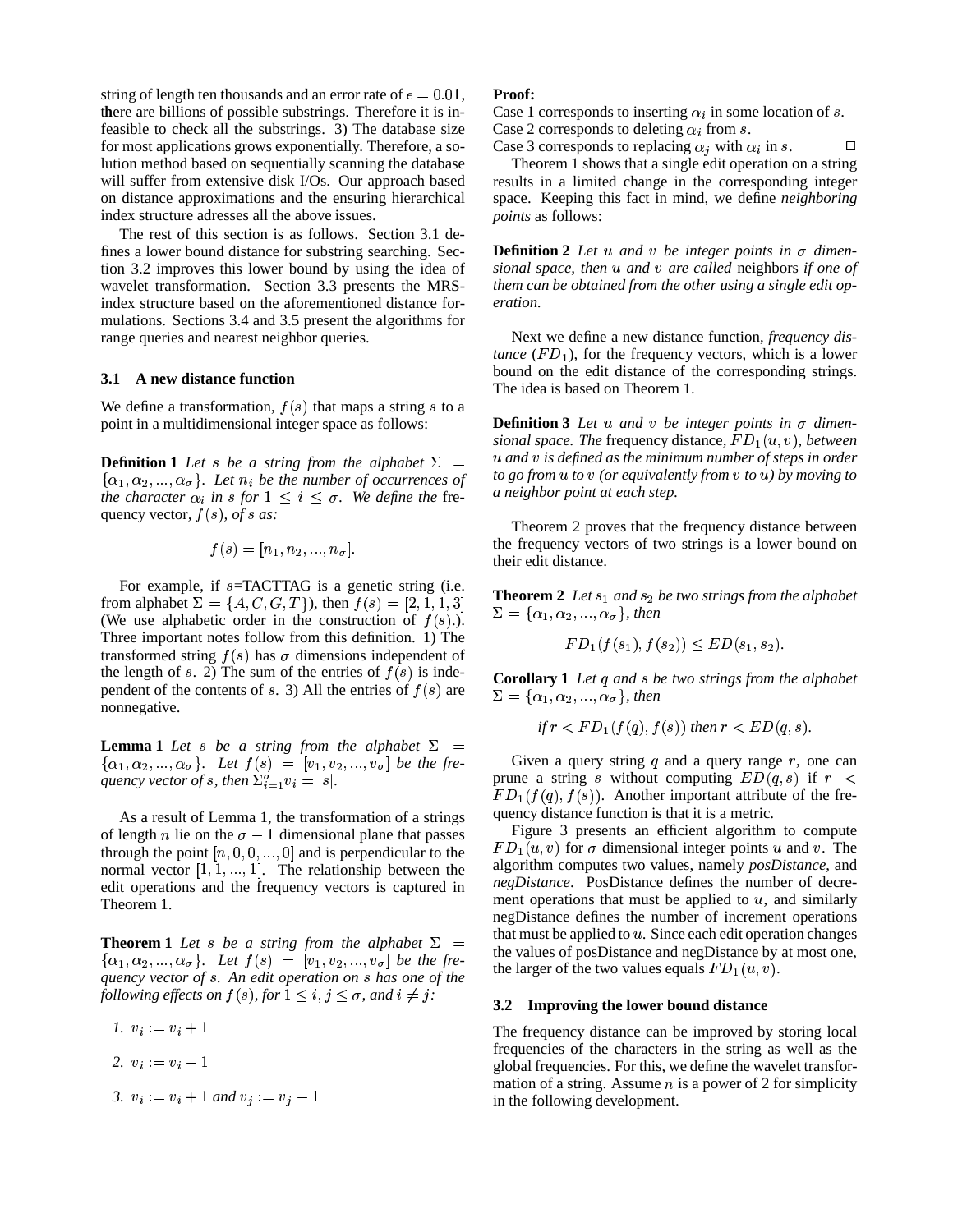string of length ten thousands and an error rate of  $\epsilon = 0.01$ , there are billions of possible substrings. Therefore it is infeasible to check all the substrings. 3) The database size for most applications grows exponentially. Therefore, a solution method based on sequentially scanning the database will suffer from extensive disk I/Os. Our approach based on distance approximations and the ensuring hierarchical index structure adresses all the above issues.

The rest of this section is as follows. Section 3.1 defines a lower bound distance for substring searching. Section 3.2 improves this lower bound by using the idea of wavelet transformation. Section 3.3 presents the MRSindex structure based on the aforementioned distance formulations. Sections 3.4 and 3.5 present the algorithms for range queries and nearest neighbor queries.

#### **3.1 A new distance function**

We define a transformation,  $f(s)$  that maps a string s to a point in a multidimensional integer space as follows:

**Definition 1** *Let s be a string from the alphabet*  $\Sigma =$  $\{\alpha_1, \alpha_2, ..., \alpha_\sigma\}$ . Let  $n_i$  be the number of occurrences of *the character*  $\alpha_i$  *in s for*  $1 \leq i \leq \sigma$ *. We define the* frequency vector,  $f(s)$ , of *s* as:

$$
f(s) = [n_1, n_2, ..., n_{\sigma}].
$$

For example, if  $s$ =TACTTAG is a genetic string (i.e. from alphabet  $\Sigma = \{A, C, G, T\}$ , then  $f(s) = [2, 1, 1, 3]$ (We use alphabetic order in the construction of  $f(s)$ .). Three important notes follow from this definition. 1) The transformed string  $f(s)$  has  $\sigma$  dimensions independent of the length of s. 2) The sum of the entries of  $f(s)$  is independent of the contents of  $s$ . 3) All the entries of  $f(s)$  are nonnegative.

**Lemma 1** *Let s be a string from the alphabet*  $\Sigma$  =  $\{\alpha_1, \alpha_2, ..., \alpha_{\sigma}\}\$ . Let  $f(s) = [v_1, v_2, ..., v_{\sigma}]$  be the fre*quency vector of s*, *then*  $\Sigma_{i=1}^{\sigma} v_i = |s|$ .

As a result of Lemma 1, the transformation of a strings of length *n* lie on the  $\sigma - 1$  dimensional plane that passes through the point  $[n, 0, 0, ..., 0]$  and is perpendicular to the normal vector  $[1, 1, ..., 1]$ . The relationship between the edit operations and the frequency vectors is captured in Theorem 1.

**Theorem 1** *Let s be a string from the alphabet*  $\Sigma$  =  $\{\alpha_1, \alpha_2, ..., \alpha_\sigma\}$ . Let  $f(s) = [v_1, v_2, ..., v_\sigma]$  be the fre*quency vector of . An edit operation on has one of the following effects on*  $f(s)$ , *for*  $1 \le i, j \le \sigma$ , *and*  $i \ne j$ :

$$
l. \, v_i := v_i + 1
$$

- 2.  $v_i := v_i 1$
- *3.*  $v_i := v_i + 1$  and  $v_j := v_j 1$

## **Proof:**

Case 1 corresponds to inserting  $\alpha_i$  in some location of s. Case 2 corresponds to deleting  $\alpha_i$  from s.

Case 3 corresponds to replacing  $\alpha_j$  with  $\alpha_i$  in s.  $\Box$ 

Theorem 1 shows that a single edit operation on a string results in a limited change in the corresponding integer space. Keeping this fact in mind, we define *neighboring points* as follows:

**Definition 2** Let  $u$  and  $v$  be integer points in  $\sigma$  dimen*sional space, then and* <sup>~</sup> *are called* neighbors *if one of them can be obtained from the other using a single edit operation.*

Next we define a new distance function, *frequency distance*  $(FD_1)$ , for the frequency vectors, which is a lower bound on the edit distance of the corresponding strings. The idea is based on Theorem 1.

**Definition 3** Let  $u$  and  $v$  be integer points in  $\sigma$  dimen*sional space. The* frequency distance,  $FD_1(u, v)$ , between *and* <sup>~</sup> *is defined as the minimum number of steps in order*  $\mathbf{f}$  *to*  $\mathbf{g}$ *o*  $\mathbf{f}$  *<i>to*  $\mathbf{u}$  *to*  $\mathbf{v}$  *(or equivalently from v to*  $\mathbf{u}$ *) by moving to a neighbor point at each step.*

Theorem 2 proves that the frequency distance between the frequency vectors of two strings is a lower bound on their edit distance.

**Theorem 2** *Let*  $s_1$  *and*  $s_2$  *be two strings from the alphabet*  $\Sigma = {\alpha_1, \alpha_2, ..., \alpha_{\sigma}}$ , then

$$
FD_1(f(s_1), f(s_2)) \le ED(s_1, s_2).
$$

**Corollary 1** *Let*  $q$  *and*  $s$  *be two strings from the alphabet*  $\Sigma = {\alpha_1, \alpha_2, ..., \alpha_{\sigma}}$ , then

$$
if r < FD_1(f(q), f(s)) then r < ED(q, s).
$$

Given a query string  $q$  and a query range  $r$ , one can prune a string s without computing  $ED(q, s)$  if  $r <$  $FD_1(f(q), f(s))$ . Another important attribute of the frequency distance function is that it is a metric.

Figure 3 presents an efficient algorithm to compute  $FD_1(u, v)$  for  $\sigma$  dimensional integer points u and v. The algorithm computes two values, namely *posDistance*, and *negDistance*. PosDistance defines the number of decrement operations that must be applied to  $u$ , and similarly negDistance defines the number of increment operations that must be applied to  $u$ . Since each edit operation changes the values of posDistance and negDistance by at most one, the larger of the two values equals  $FD_1(u, v)$ .

#### **3.2 Improving the lower bound distance**

The frequency distance can be improved by storing local frequencies of the characters in the string as well as the global frequencies. For this, we define the wavelet transformation of a string. Assume  $n$  is a power of 2 for simplicity in the following development.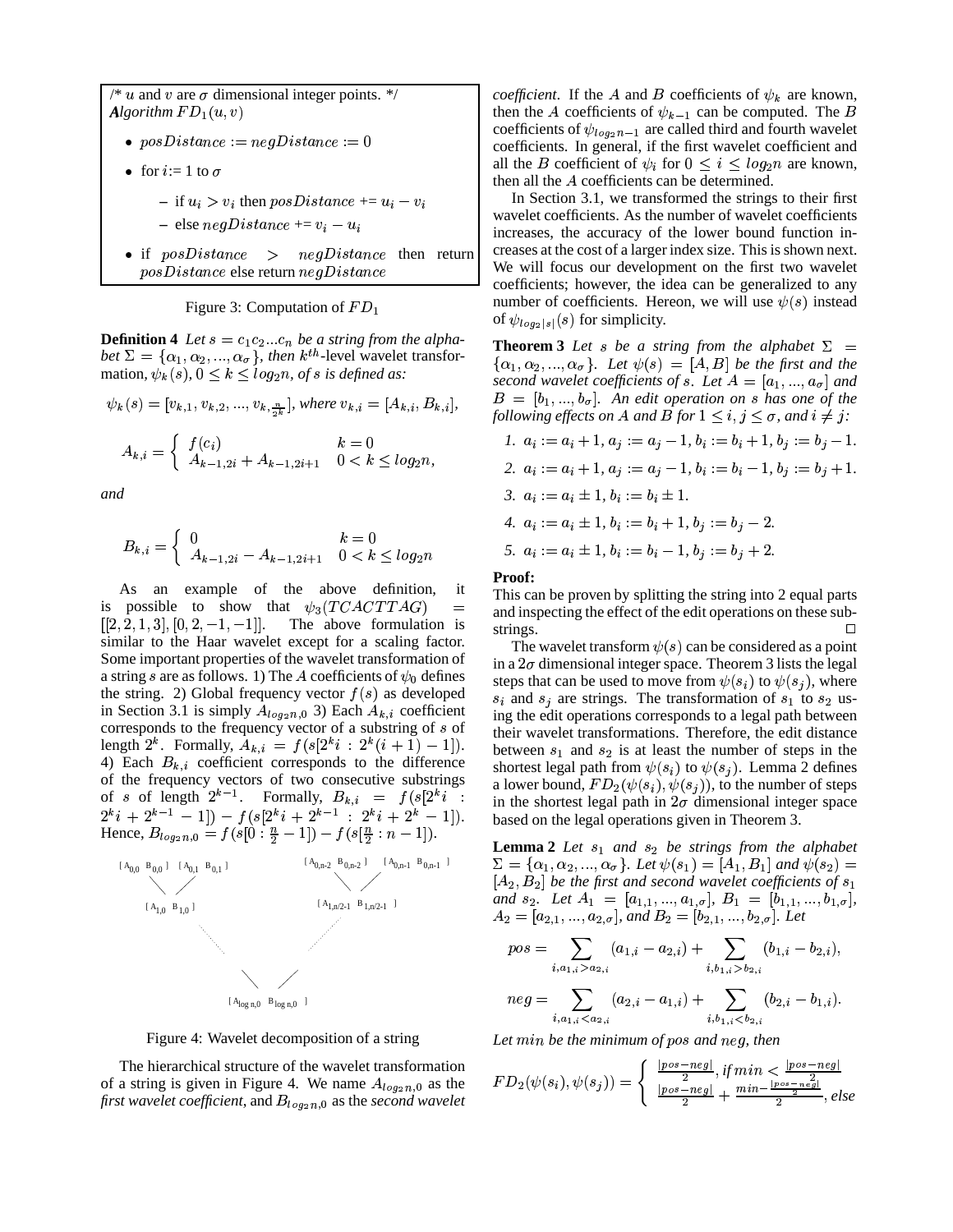/\* u and v are  $\sigma$  dimensional integer points. \*/ *Algorithm*  $FD_1(u, v)$ 

- $posDistance := negDistance := 0$
- for  $i=1$  to  $\sigma$ 
	- $-$  if  $u_i > v_i$  then  $posDistance += u_i v_i$
	- $-$  else  $negDistance += v_i u_i$
- if  $posDistance \ge negDistance$  then return  $posDistance$  else return  $negDistance$

Figure 3: Computation of  $FD_1$ 

**Definition 4** Let  $s = c_1c_2...c_n$  be a string from the alpha*bet*  $\Sigma = {\alpha_1, \alpha_2, ..., \alpha_{\sigma}}$ , *then*  $k^{th}$ -level wavelet transformation,  $\psi_k(s)$ ,  $0 \leq k \leq log_2 n$ , of *s* is defined as:

$$
\psi_k(s) = [v_{k,1}, v_{k,2}, ..., v_{k,\frac{n}{2^k}}], where v_{k,i} = [A_{k,i}, B_{k,i}],
$$

$$
A_{k,i} = \begin{cases} f(c_i) & k = 0\\ A_{k-1,2i} + A_{k-1,2i+1} & 0 < k \le log_2 n, \end{cases}
$$

*and*

$$
B_{k,i} = \begin{cases} 0 & k = 0\\ A_{k-1,2i} - A_{k-1,2i+1} & 0 < k \le log_2 n \end{cases}
$$

As an example of the above definition, it is possible to show that  $\psi_3(TCACTTAG)$  $\begin{bmatrix} 1 & 2 & 1 & 3 \end{bmatrix}$ ,  $\begin{bmatrix} 0 & 2 & -1 & -1 \end{bmatrix}$ , ine a The above formulation is similar to the Haar wavelet except for a scaling factor. Some important properties of the wavelet transformation of a string s are as follows. 1) The A coefficients of  $\psi_0$  defines the string. 2) Global frequency vector  $f(s)$  as developed in Section 3.1 is simply  $A_{log_2 n,0}$  3) Each  $A_{k,i}$  coefficient corresponds to the frequency vector of a substring of  $s$  of length  $2^k$ . Formally,  $A_{k,i} = f(s[2^ki : 2^k(i + 1) - 1])$ . 4) Each  $B_{k,i}$  coefficient corresponds to the difference of the frequency vectors of two consecutive substrings of s of length  $2^{k-1}$ . Formally,  $B_{k,i} = f(s|2^k i)$ :  $2^{k}i + 2^{k-1} - 1] - f(s[2^{k}i + 2^{k-1} : 2^{k}i + 2^{k} - 1]).$  base Hence,  $B_{log_2 n,0} = f(s[0:\frac{n}{2}-1]) - f(s[\frac{n}{2}:n-1])$ .



Figure 4: Wavelet decomposition of a string

The hierarchical structure of the wavelet transformation of a string is given in Figure 4. We name  $A_{log_2 n,0}$  as the first wavelet coefficient, and  $B_{log_2 n,0}$  as the *second wavelet* 

*coefficient*. If the A and B coefficients of  $\psi_k$  are known, then the A coefficients of  $\psi_{k-1}$  can be computed. The B coefficients of  $\psi_{log_2 n-1}$  are called third and fourth wavelet coefficients. In general, if the first wavelet coefficient and all the *B* coefficient of  $\psi_i$  for  $0 \leq i \leq log_2 n$  are known, then all the  $A$  coefficients can be determined.

In Section 3.1, we transformed the strings to their first wavelet coefficients. As the number of wavelet coefficients increases, the accuracy of the lower bound function increases at the cost of a larger index size. This is shown next. We will focus our development on the first two wavelet coefficients; however, the idea can be generalized to any number of coefficients. Hereon, we will use  $\psi(s)$  instead of  $\psi_{log_2|s|}(s)$  for simplicity.

**Theorem 3** *Let s be a string from the alphabet*  $\Sigma =$  $\{\alpha_1, \alpha_2, ..., \alpha_\sigma\}$ . Let  $\psi(s) = [A, B]$  be the first and the *second* wavelet coefficients of *s*. Let  $A = [a_1, ..., a_{\sigma}]$  and  $B = [b_1, ..., b_{\sigma}]$ . An edit operation on s has one of the *following effects on A and B for*  $1 \le i, j \le \sigma$ , and  $i \ne j$ :

\n1. 
$$
a_i := a_i + 1
$$
,  $a_j := a_j - 1$ ,  $b_i := b_i + 1$ ,  $b_j := b_j - 1$ .\n

\n\n2.  $a_i := a_i + 1$ ,  $a_j := a_j - 1$ ,  $b_i := b_i - 1$ ,  $b_j := b_j + 1$ .\n

\n\n3.  $a_i := a_i \pm 1$ ,  $b_i := b_i \pm 1$ .\n

\n\n4.  $a_i := a_i \pm 1$ ,  $b_i := b_i + 1$ ,  $b_j := b_j - 2$ .\n

\n\n5.  $a_i := a_i \pm 1$ ,  $b_i := b_i - 1$ ,  $b_j := b_j + 2$ .\n

### **Proof:**

This can be proven by splitting the string into 2 equal parts and inspecting the effect of the edit operations on these substrings.  $\Box$ 

The wavelet transform  $\psi(s)$  can be considered as a point in a  $2\sigma$  dimensional integer space. Theorem 3 lists the legal steps that can be used to move from  $\psi(s_i)$  to  $\psi(s_j)$ , where  $s_i$  and  $s_j$  are strings. The transformation of  $s_1$  to  $s_2$  using the edit operations corresponds to a legal path between their wavelet transformations. Therefore, the edit distance between  $s_1$  and  $s_2$  is at least the number of steps in the shortest legal path from  $\psi(s_i)$  to  $\psi(s_j)$ . Lemma 2 defines a lower bound,  $FD_2(\psi(s_i), \psi(s_j))$ , to the number of steps in the shortest legal path in  $2\sigma$  dimensional integer space based on the legal operations given in Theorem 3.

**Lemma 2** *Let and be strings from the alphabet*  $\Sigma = {\alpha_1, \alpha_2, ..., \alpha_\sigma}$ . Let  $\psi(s_1) = [A_1, B_1]$  and  $\psi(s_2) =$  $[A_2, B_2]$  be the first and second wavelet coefficients of  $s_1$ *and*  $s_2$ . Let  $A_1 = [a_{1,1},...,a_{1,\sigma}], B_1 = [b_{1,1},...,b_{1,\sigma}],$  $A_2 = [a_{2,1},...,a_{2,\sigma}],$  and  $B_2 = [b_{2,1},...,b_{2,\sigma}].$  Let

$$
pos = \sum_{i, a_{1,i} > a_{2,i}} (a_{1,i} - a_{2,i}) + \sum_{i, b_{1,i} > b_{2,i}} (b_{1,i} - b_{2,i}),
$$
  

$$
neg = \sum_{i, a_{1,i} > a_{2,i}} (a_{2,i} - a_{1,i}) + \sum_{i, b_{1,i} > b_{2,i}} (b_{2,i} - b_{2,i})
$$

$$
neg = \sum_{i, a_{1,i} < a_{2,i}} (a_{2,i} - a_{1,i}) + \sum_{i, b_{1,i} < b_{2,i}} (b_{2,i} - b_{1,i}).
$$

Let min be the minimum of pos and neg, then

$$
FD_2(\psi(s_i), \psi(s_j)) = \begin{cases} \frac{|pos-neg|}{2}, if \min < \frac{|pos-neg|}{2} \\ \frac{|pos-neg|}{2} + \frac{min - \frac{|pos-neg|}{2}}{2}, else \end{cases}
$$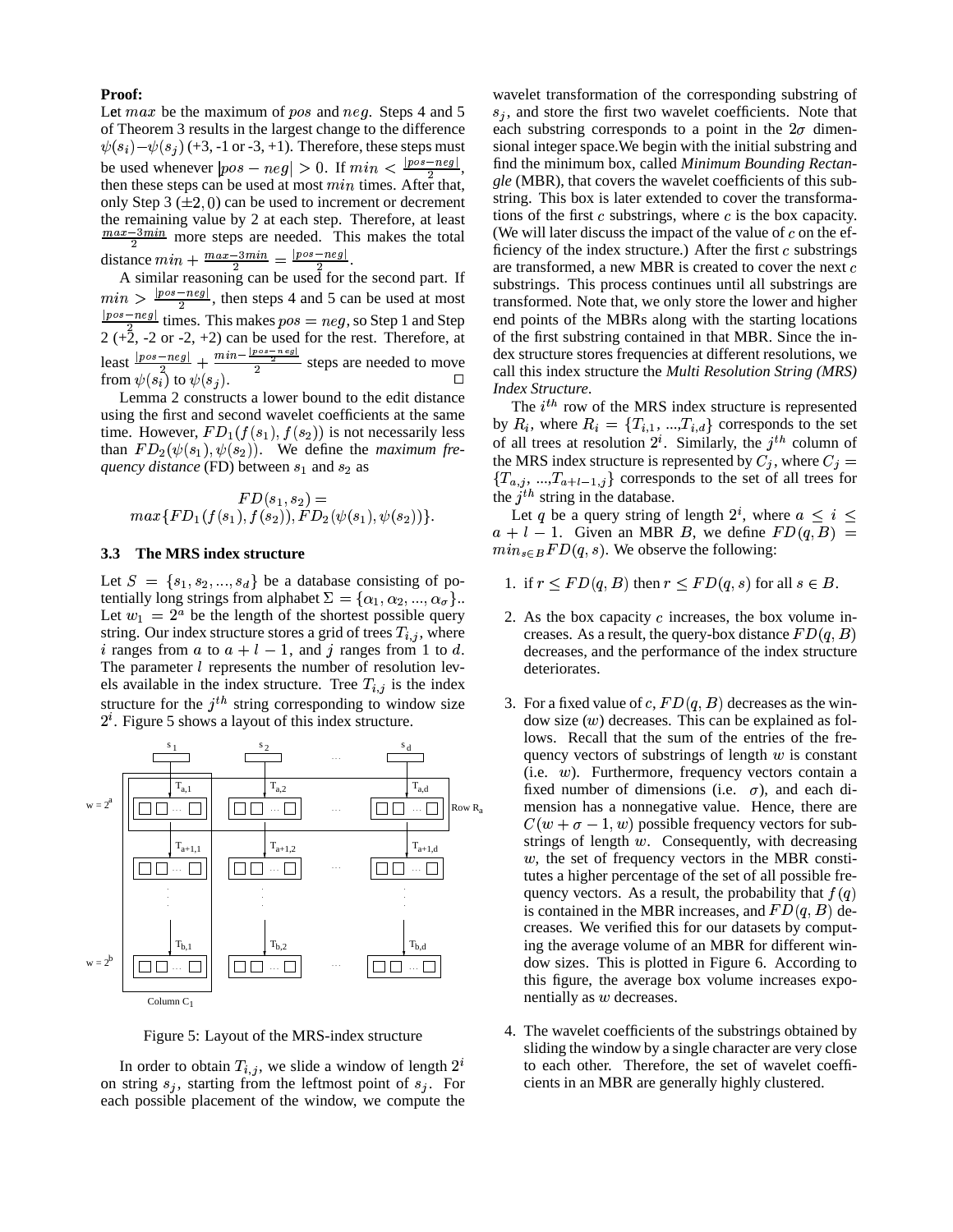#### **Proof:**

Let  $max$  be the maximum of  $pos$  and  $neg$ . Steps 4 and 5 of Theorem 3 results in the largest change to the difference  $\psi(s_i)$   $-\psi(s_j)$  (+3, -1 or -3, +1). Therefore, these steps must si be used whenever  $|pos-neg| > 0$ . If  $min < \frac{|pos-neg|}{2}$ , fi then these steps can be used at most  $min$  times. After that, only Step 3  $(\pm 2, 0)$  can be used to increment or decrement the remaining value by 2 at each step. Therefore, at least  $\frac{max-3min}{2}$  more steps are needed. This makes the total distance  $min + \frac{max - 3min}{2} = \frac{pos - neg}{2}$   $\frac{|pos-neg|}{2}$ .

A similar reasoning can be used for the second part. If  $\min > \frac{|pos-neg|}{2}$ , then steps 4 and 5 can be used at most  $\frac{[pos-neg]}{2}$  times. This makes  $pos = neg$ , so Step 1 and Step 2  $(+2, -2 \text{ or } -2, +2)$  can be used for the rest. Therefore, at least  $\frac{|pos-neg|}{2} + \frac{mi}{2}$  $\frac{[-neg]}{2}$  +  $\frac{m+n}{2}$  steps are needed to move from  $\psi(s_i)$  to  $\psi(s_j)$ .

Lemma 2 constructs a lower bound to the edit distance using the first and second wavelet coefficients at the same time. However,  $FD_1(f(s_1), f(s_2))$  is not necessarily less than  $FD_2(\psi(s_1), \psi(s_2))$ . We define the *maximum* fre*quency distance* (FD) between  $s_1$  and  $s_2$  as

$$
FD(s_1, s_2) =
$$
  
max{ $FD_1(f(s_1), f(s_2)), FD_2(\psi(s_1), \psi(s_2))$  }.

#### **3.3 The MRS index structure**

Let  $S = \{s_1, s_2, ..., s_d\}$  be a database consisting of potentially long strings from alphabet  $\Sigma = {\alpha_1, \alpha_2, ..., \alpha_{\sigma}}$ . Let  $w_1 = 2^a$  be the length of the shortest possible query string. Our index structure stores a grid of trees  $T_{i,j}$ , where i ranges from a to  $a + l - 1$ , and j ranges from 1 to d. The parameter  $l$  represents the number of resolution levels available in the index structure. Tree  $T_{i,j}$  is the index structure for the  $j<sup>th</sup>$  string corresponding to window size  $2<sup>i</sup>$ . Figure 5 shows a layout of this index structure.



Figure 5: Layout of the MRS-index structure

In order to obtain  $T_{i,j}$ , we slide a window of length  $2^i$ on string  $s_j$ , starting from the leftmost point of  $s_j$ . For each possible placement of the window, we compute the

wavelet transformation of the corresponding substring of  $s_i$ , and store the first two wavelet coefficients. Note that each substring corresponds to a point in the  $2\sigma$  dimensional integer space.We begin with the initial substring and find the minimum box, called *Minimum Bounding Rectangle* (MBR), that covers the wavelet coefficients of this substring. This box is later extended to cover the transformations of the first  $c$  substrings, where  $c$  is the box capacity. (We will later discuss the impact of the value of  $c$  on the efficiency of the index structure.) After the first  $c$  substrings are transformed, a new MBR is created to cover the next substrings. This process continues until all substrings are transformed. Note that, we only store the lower and higher end points of the MBRs along with the starting locations of the first substring contained in that MBR. Since the index structure stores frequencies at different resolutions, we call this index structure the *Multi Resolution String (MRS) Index Structure*.

The  $i<sup>th</sup>$  row of the MRS index structure is represented by  $R_i$ , where  $R_i = \{T_{i,1}, ..., T_{i,d}\}\)$  corresponds to the set of all trees at resolution  $2^i$ . Similarly, the  $j<sup>th</sup>$  column of the MRS index structure is represented by  $C_j$ , where  $C_j =$  ${T_{a,j},...,T_{a+l-1,j}}$  corresponds to the set of all trees for the  $j<sup>th</sup>$  string in the database.

Let q be a query string of length  $2^i$ , where  $a \leq i \leq$  $a + l - 1$ . Given an MBR B, we define  $FD(q, B) =$  $min_{s \in B} FD(q, s)$ . We observe the following:

- 1. if  $r \leq FD(q, B)$  then  $r \leq FD(q, s)$  for all  $s \in B$ .
- 2. As the box capacity  $c$  increases, the box volume increases. As a result, the query-box distance  $FD(q, B)$ decreases, and the performance of the index structure deteriorates.
- 3. For a fixed value of c,  $FD(q, B)$  decreases as the window size  $(w)$  decreases. This can be explained as follows. Recall that the sum of the entries of the frequency vectors of substrings of length  $w$  is constant (i.e.  $w$ ). Furthermore, frequency vectors contain a fixed number of dimensions (i.e.  $\sigma$ ), and each dimension has a nonnegative value. Hence, there are  $C(w + \sigma - 1, w)$  possible frequency vectors for substrings of length  $w$ . Consequently, with decreasing  $w$ , the set of frequency vectors in the MBR constitutes a higher percentage of the set of all possible frequency vectors. As a result, the probability that  $f(q)$ is contained in the MBR increases, and  $FD(q, B)$  decreases. We verified this for our datasets by computing the average volume of an MBR for different window sizes. This is plotted in Figure 6. According to this figure, the average box volume increases exponentially as  $w$  decreases.
- 4. The wavelet coefficients of the substrings obtained by sliding the window by a single character are very close to each other. Therefore, the set of wavelet coefficients in an MBR are generally highly clustered.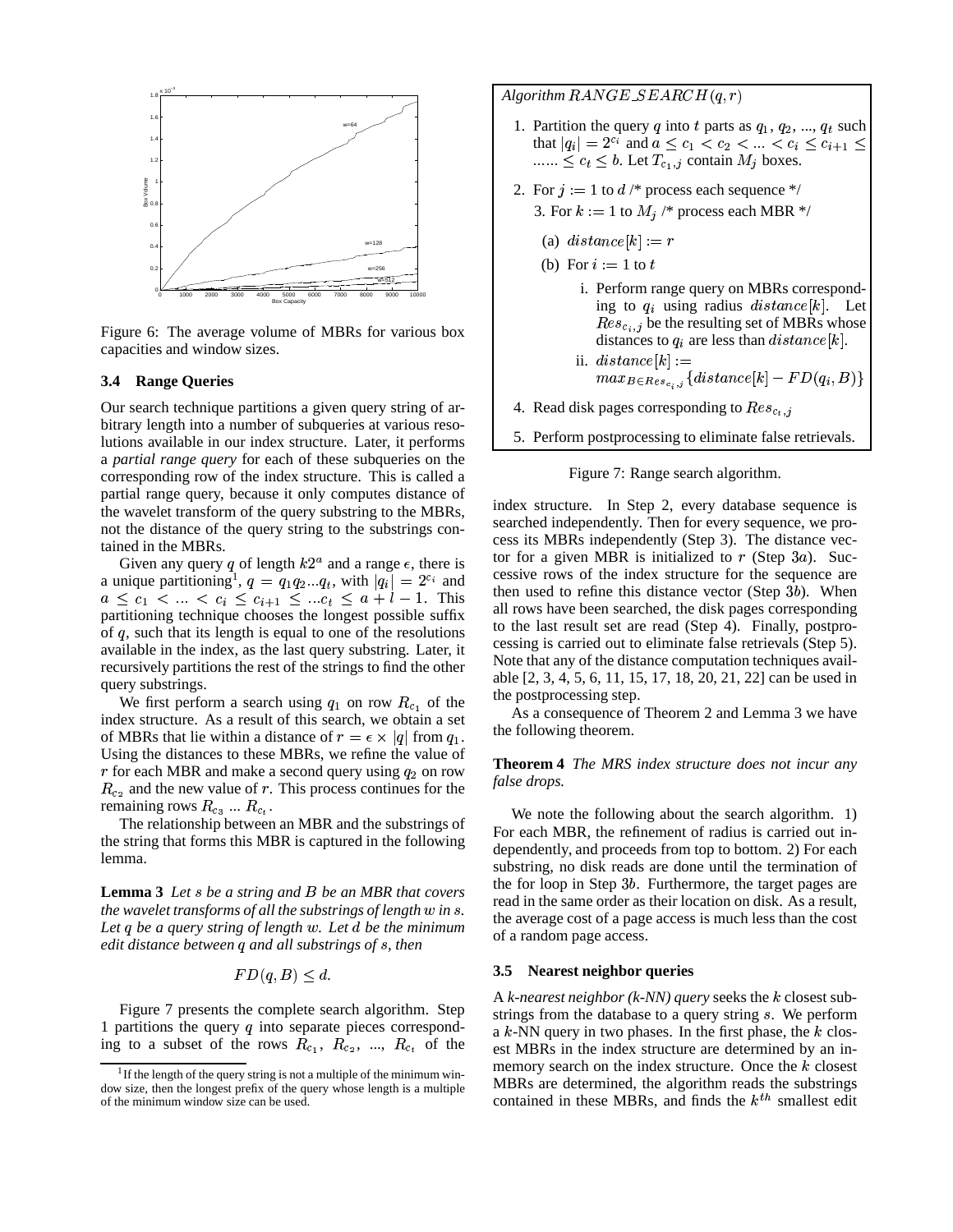

Figure 6: The average volume of MBRs for various box capacities and window sizes.

#### **3.4 Range Queries**

Our search technique partitions a given query string of arbitrary length into a number of subqueries at various resolutions available in our index structure. Later, it performs a *partial range query* for each of these subqueries on the corresponding row of the index structure. This is called a partial range query, because it only computes distance of the wavelet transform of the query substring to the MBRs, not the distance of the query string to the substrings contained in the MBRs.

Given any query q of length  $k2^a$  and a range  $\epsilon$ , there is a unique partitioning<sup>1</sup>,  $q = q_1 q_2 ... q_t$ , with  $|q_i| = 2^{c_i}$  and  $a \leq c_1 < ... < c_i \leq c_{i+1} \leq ... c_t \leq a + l - 1$ . This partitioning technique chooses the longest possible suffix of  $q$ , such that its length is equal to one of the resolutions available in the index, as the last query substring. Later, it recursively partitions the rest of the strings to find the other query substrings.

We first perform a search using  $q_1$  on row  $R_{c_1}$  of the unit index structure. As a result of this search, we obtain a set of MBRs that lie within a distance of  $r = \epsilon \times |q|$  from  $q_1$ . Using the distances to these MBRs, we refine the value of r for each MBR and make a second query using  $q_2$  on row  $R_{c_2}$  and the new value of r. This process continues for the remaining rows  $R_{c_3} \dots R_{c_t}$ .

The relationship between an MBR and the substrings of the string that forms this MBR is captured in the following lemma.

**Lemma 3** *Let be a string and* § *be an MBR that covers the* wavelet transforms of all the substrings of length w in s. *Let* ( *be a query string of length* <sup>8</sup>*. Let* <sup>Ú</sup> *be the minimum edit distance between* ( *and all substrings of , then*

$$
FD(q, B) \le d.
$$

Figure 7 presents the complete search algorithm. Step 1 partitions the query  $q$  into separate pieces corresponding to a subset of the rows  $R_{c_1}$ ,  $R_{c_2}$ , ...,  $R_{c_t}$  of the

Algorithm  $\mathit{RANGE\_SEARCH}(q,r)$ 

- 1. Partition the query q into t parts as  $q_1, q_2, ..., q_t$  such that  $|q_i| = 2^{c_i}$  and  $a \le c_1 < c_2 < ... < c_i \le c_{i+1} \le |$  $\dots \leq c_t \leq b$ . Let  $T_{c_1,j}$  contain  $M_j$  boxes.
- 2. For  $j := 1$  to  $d \nmid^*$  process each sequence \*/
	- 3. For  $k := 1$  to  $M_i$  /\* process each MBR \*/
		- (a)  $distance[k] := r$
	- (b) For  $i := 1$  to  $t$ 
		- i. Perform range query on MBRs corresponding to  $q_i$  using radius  $distance[k]$ . Let  $Res_{c_i,j}$  be the resulting set of MBRs whose distances to  $q_i$  are less than  $distance[k]$ .
		- ii.  $distance[k] :=$  $max_{B \in Res_{c,j}} \{distance[k] - FD(q_i, B)\}$
- 4. Read disk pages corresponding to  $Res_{c_t, j}$
- 5. Perform postprocessing to eliminate false retrievals.

Figure 7: Range search algorithm.

index structure. In Step 2, every database sequence is searched independently. Then for every sequence, we process its MBRs independently (Step 3). The distance vector for a given MBR is initialized to  $r$  (Step 3a). Successive rows of the index structure for the sequence are then used to refine this distance vector (Step  $3b$ ). When all rows have been searched, the disk pages corresponding to the last result set are read (Step 4). Finally, postprocessing is carried out to eliminate false retrievals (Step 5). Note that any of the distance computation techniques available [2, 3, 4, 5, 6, 11, 15, 17, 18, 20, 21, 22] can be used in the postprocessing step.

As a consequence of Theorem 2 and Lemma 3 we have the following theorem.

**Theorem 4** *The MRS index structure does not incur any false drops.*

We note the following about the search algorithm. 1) For each MBR, the refinement of radius is carried out independently, and proceeds from top to bottom. 2) For each substring, no disk reads are done until the termination of the for loop in Step  $3b$ . Furthermore, the target pages are read in the same order as their location on disk. As a result, the average cost of a page access is much less than the cost of a random page access.

#### **3.5 Nearest neighbor queries**

A *k-nearest neighbor* (*k-NN*) *query* seeks the *k* closest substrings from the database to a query string s. We perform a  $k$ -NN query in two phases. In the first phase, the  $k$  closest MBRs in the index structure are determined by an inmemory search on the index structure. Once the  $k$  closest MBRs are determined, the algorithm reads the substrings contained in these MBRs, and finds the  $k^{th}$  smallest edit

<sup>&</sup>lt;sup>1</sup> If the length of the query string is not a multiple of the minimum window size, then the longest prefix of the query whose length is a multiple of the minimum window size can be used.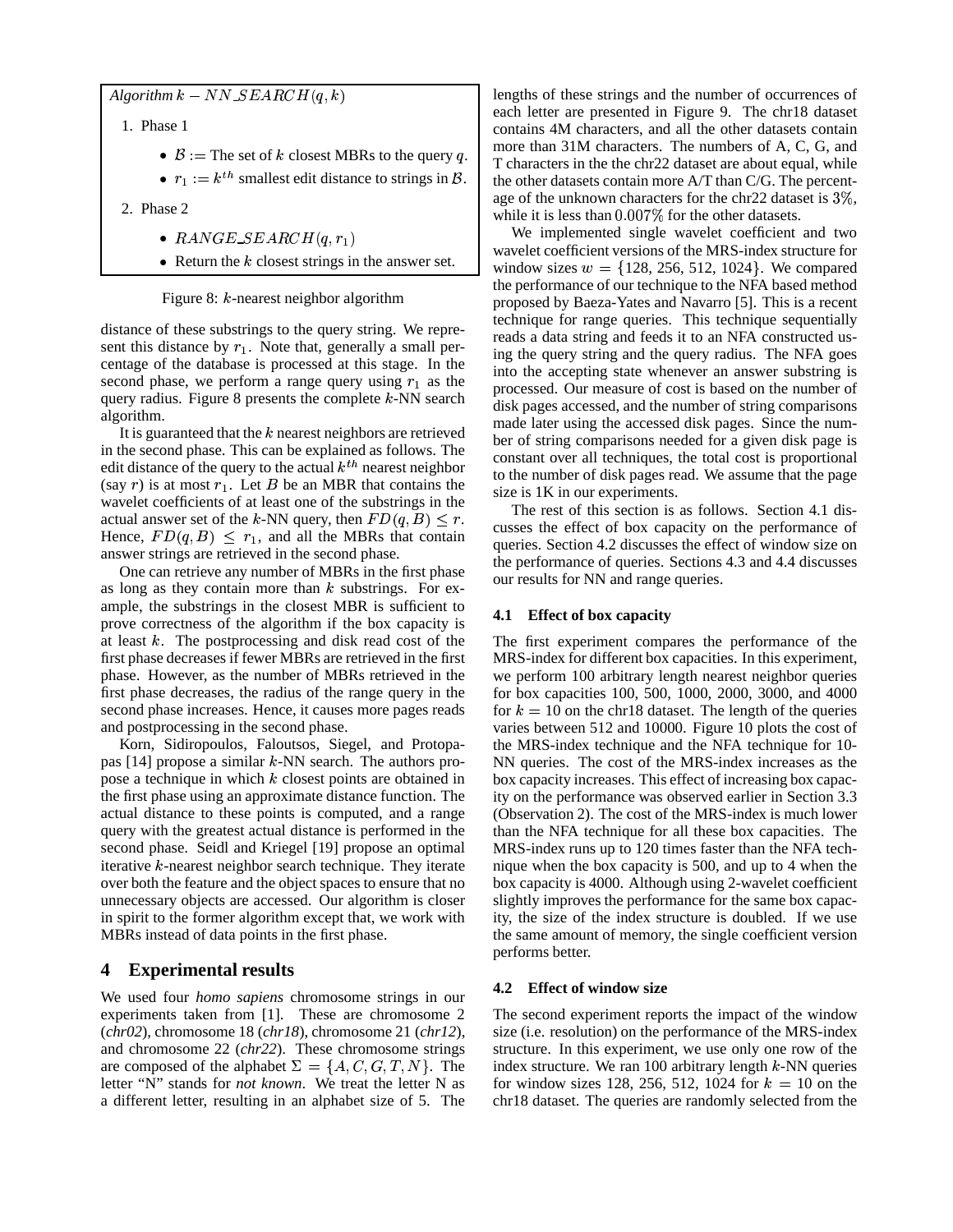$Algorithm\ k - NN\_SEARCH(q, k)$ 

1. Phase 1

- $\mathcal{B} :=$  The set of  $k$  closest MBRs to the query  $q$ .
- $r_1 := k^{th}$  smallest edit distance to strings in  $\mathcal{B}$ . | the other
- 2. Phase 2
	- RANGE\_SEARCH $(q, r_1)$
	- Return the  $k$  closest strings in the answer set.

Figure 8:  $k$ -nearest neighbor algorithm

distance of these substrings to the query string. We represent this distance by  $r_1$ . Note that, generally a small percentage of the database is processed at this stage. In the second phase, we perform a range query using  $r_1$  as the query radius. Figure 8 presents the complete  $k$ -NN search algorithm.

It is guaranteed that the  $k$  nearest neighbors are retrieved in the second phase. This can be explained as follows. The edit distance of the query to the actual  $k^{th}$  nearest neighbor (say r) is at most  $r_1$ . Let B be an MBR that contains the wavelet coefficients of at least one of the substrings in the actual answer set of the k-NN query, then  $FD(q, B) \leq r$ . Hence,  $FD(q, B) \leq r_1$ , and all the MBRs that contain answer strings are retrieved in the second phase.

One can retrieve any number of MBRs in the first phase as long as they contain more than  $k$  substrings. For example, the substrings in the closest MBR is sufficient to prove correctness of the algorithm if the box capacity is at least  $k$ . The postprocessing and disk read cost of the first phase decreases if fewer MBRs are retrieved in the first phase. However, as the number of MBRs retrieved in the first phase decreases, the radius of the range query in the second phase increases. Hence, it causes more pages reads and postprocessing in the second phase.

Korn, Sidiropoulos, Faloutsos, Siegel, and Protopapas  $[14]$  propose a similar k-NN search. The authors propose a technique in which  $k$  closest points are obtained in the first phase using an approximate distance function. The actual distance to these points is computed, and a range query with the greatest actual distance is performed in the second phase. Seidl and Kriegel [19] propose an optimal iterative  $k$ -nearest neighbor search technique. They iterate over both the feature and the object spaces to ensure that no unnecessary objects are accessed. Our algorithm is closer in spirit to the former algorithm except that, we work with MBRs instead of data points in the first phase.

# **4 Experimental results**

We used four *homo sapiens* chromosome strings in our experiments taken from [1]. These are chromosome 2 (*chr02*), chromosome 18 (*chr18*), chromosome 21 (*chr12*), and chromosome 22 (*chr22*). These chromosome strings are composed of the alphabet  $\Sigma = \{A, C, G, T, N\}$ . The index s letter "N" stands for *not known*. We treat the letter N as a different letter, resulting in an alphabet size of 5. The

lengths of these strings and the number of occurrences of each letter are presented in Figure 9. The chr18 dataset contains 4M characters, and all the other datasets contain more than 31M characters. The numbers of A, C, G, and T characters in the the chr22 dataset are about equal, while the other datasets contain more A/T than C/G. The percentage of the unknown characters for the chr22 dataset is  $3\%$ , while it is less than  $0.007\%$  for the other datasets.

We implemented single wavelet coefficient and two wavelet coefficient versions of the MRS-index structure for window sizes  $w = \{128, 256, 512, 1024\}$ . We compared the performance of our technique to the NFA based method proposed by Baeza-Yates and Navarro [5]. This is a recent technique for range queries. This technique sequentially reads a data string and feeds it to an NFA constructed using the query string and the query radius. The NFA goes into the accepting state whenever an answer substring is processed. Our measure of cost is based on the number of disk pages accessed, and the number of string comparisons made later using the accessed disk pages. Since the number of string comparisons needed for a given disk page is constant over all techniques, the total cost is proportional to the number of disk pages read. We assume that the page size is 1K in our experiments.

The rest of this section is as follows. Section 4.1 discusses the effect of box capacity on the performance of queries. Section 4.2 discusses the effect of window size on the performance of queries. Sections 4.3 and 4.4 discusses our results for NN and range queries.

## **4.1 Effect of box capacity**

The first experiment compares the performance of the MRS-index for different box capacities. In this experiment, we perform 100 arbitrary length nearest neighbor queries for box capacities 100, 500, 1000, 2000, 3000, and 4000 for  $k = 10$  on the chr18 dataset. The length of the queries varies between 512 and 10000. Figure 10 plots the cost of the MRS-index technique and the NFA technique for 10- NN queries. The cost of the MRS-index increases as the box capacity increases. This effect of increasing box capacity on the performance was observed earlier in Section 3.3 (Observation 2). The cost of the MRS-index is much lower than the NFA technique for all these box capacities. The MRS-index runs up to 120 times faster than the NFA technique when the box capacity is 500, and up to 4 when the box capacity is 4000. Although using 2-wavelet coefficient slightly improves the performance for the same box capacity, the size of the index structure is doubled. If we use the same amount of memory, the single coefficient version performs better.

## **4.2 Effect of window size**

The second experiment reports the impact of the window size (i.e. resolution) on the performance of the MRS-index structure. In this experiment, we use only one row of the index structure. We ran  $100$  arbitrary length  $k$ -NN queries for window sizes 128, 256, 512, 1024 for  $k = 10$  on the chr18 dataset. The queries are randomly selected from the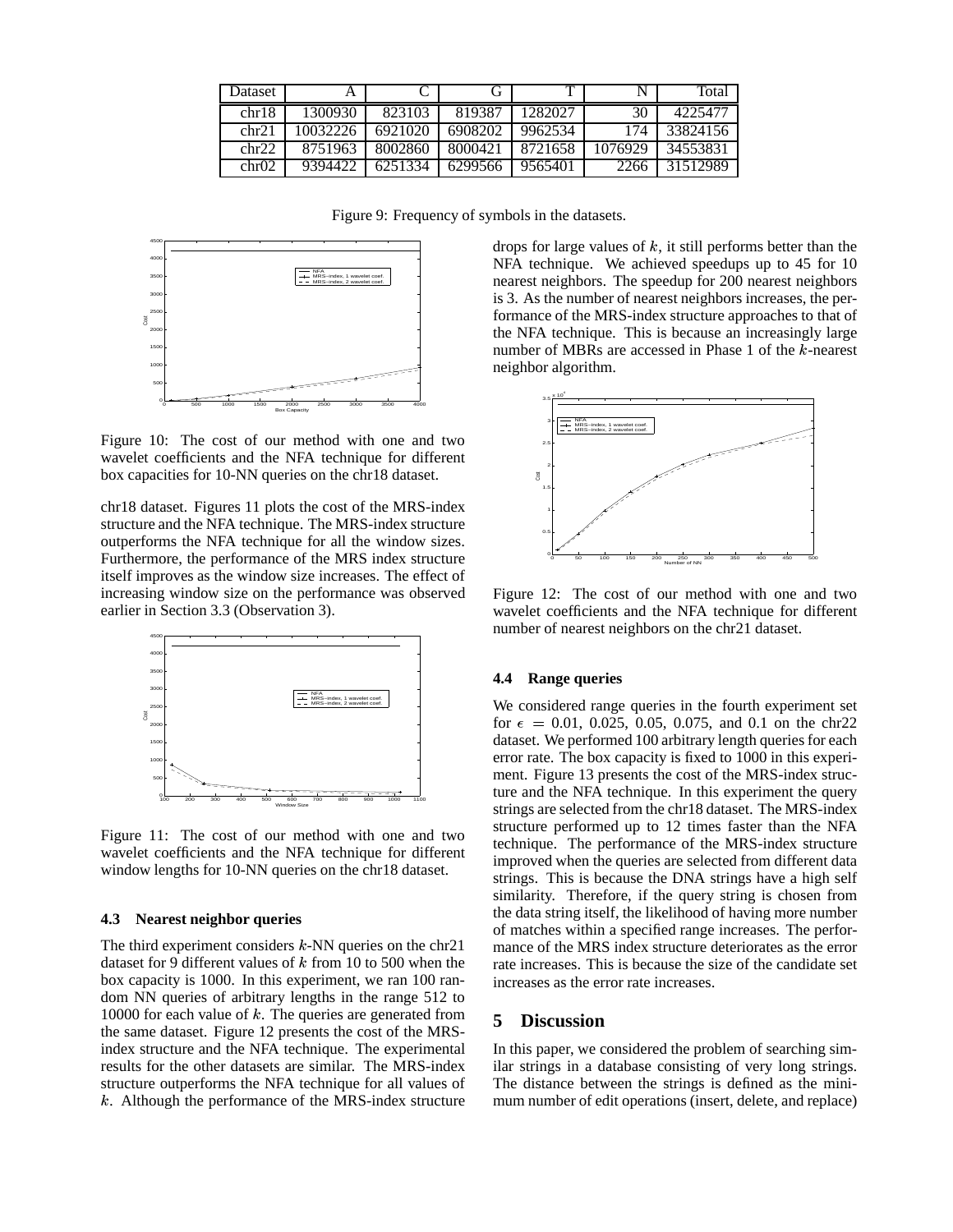| Dataset           |          |         | (ì      |         | N       | Total    |
|-------------------|----------|---------|---------|---------|---------|----------|
| chr18             | 1300930  | 823103  | 819387  | 1282027 | 30      | 4225477  |
| chr21             | 10032226 | 6921020 | 6908202 | 9962534 | 174     | 33824156 |
| chr22             | 8751963  | 8002860 | 8000421 | 8721658 | 1076929 | 34553831 |
| chr <sub>02</sub> | 9394422  | 6251334 | 6299566 | 9565401 | 2266    | 31512989 |

Figure 9: Frequency of symbols in the datasets.



Figure 10: The cost of our method with one and two wavelet coefficients and the NFA technique for different box capacities for 10-NN queries on the chr18 dataset.

chr18 dataset. Figures 11 plots the cost of the MRS-index structure and the NFA technique. The MRS-index structure outperforms the NFA technique for all the window sizes. Furthermore, the performance of the MRS index structure itself improves as the window size increases. The effect of increasing window size on the performance was observed earlier in Section 3.3 (Observation 3).



Figure 11: The cost of our method with one and two wavelet coefficients and the NFA technique for different window lengths for 10-NN queries on the chr18 dataset.

#### **4.3 Nearest neighbor queries**

The third experiment considers  $k$ -NN queries on the chr21 dataset for 9 different values of  $k$  from 10 to 500 when the box capacity is 1000. In this experiment, we ran 100 random NN queries of arbitrary lengths in the range 512 to 10000 for each value of  $k$ . The queries are generated from the same dataset. Figure 12 presents the cost of the MRSindex structure and the NFA technique. The experimental results for the other datasets are similar. The MRS-index structure outperforms the NFA technique for all values of  $k$ . Although the performance of the MRS-index structure drops for large values of  $k$ , it still performs better than the NFA technique. We achieved speedups up to 45 for 10 nearest neighbors. The speedup for 200 nearest neighbors is 3. As the number of nearest neighbors increases, the performance of the MRS-index structure approaches to that of the NFA technique. This is because an increasingly large number of MBRs are accessed in Phase 1 of the  $k$ -nearest neighbor algorithm.



Figure 12: The cost of our method with one and two wavelet coefficients and the NFA technique for different number of nearest neighbors on the chr21 dataset.

#### **4.4 Range queries**

We considered range queries in the fourth experiment set for  $\epsilon = 0.01, 0.025, 0.05, 0.075,$  and 0.1 on the chr22 dataset. We performed 100 arbitrary length queries for each error rate. The box capacity is fixed to 1000 in this experiment. Figure 13 presents the cost of the MRS-index structure and the NFA technique. In this experiment the query strings are selected from the chr18 dataset. The MRS-index structure performed up to 12 times faster than the NFA technique. The performance of the MRS-index structure improved when the queries are selected from different data strings. This is because the DNA strings have a high self similarity. Therefore, if the query string is chosen from the data string itself, the likelihood of having more number of matches within a specified range increases. The performance of the MRS index structure deteriorates as the error rate increases. This is because the size of the candidate set increases as the error rate increases.

## **5 Discussion**

In this paper, we considered the problem of searching similar strings in a database consisting of very long strings. The distance between the strings is defined as the minimum number of edit operations (insert, delete, and replace)